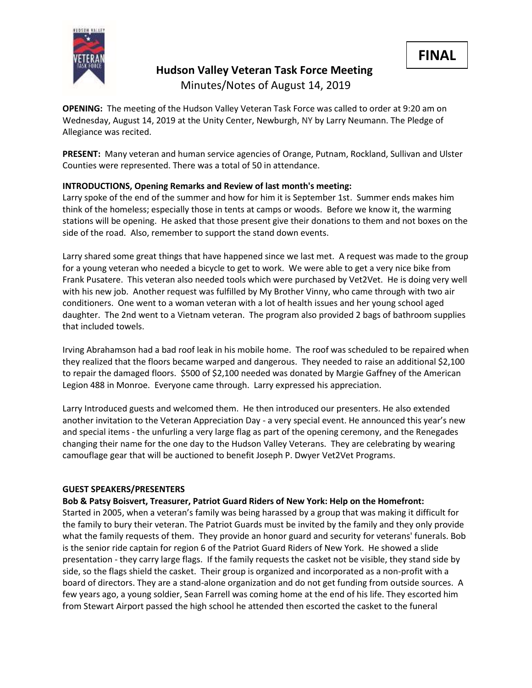

**Hudson Valley Veteran Task Force Meeting** Minutes/Notes of August 14, 2019

**OPENING:** The meeting of the Hudson Valley Veteran Task Force was called to order at 9:20 am on Wednesday, August 14, 2019 at the Unity Center, Newburgh, NY by Larry Neumann. The Pledge of Allegiance was recited.

**PRESENT:** Many veteran and human service agencies of Orange, Putnam, Rockland, Sullivan and Ulster Counties were represented. There was a total of 50 in attendance.

## **INTRODUCTIONS, Opening Remarks and Review of last month's meeting:**

Larry spoke of the end of the summer and how for him it is September 1st. Summer ends makes him think of the homeless; especially those in tents at camps or woods. Before we know it, the warming stations will be opening. He asked that those present give their donations to them and not boxes on the side of the road. Also, remember to support the stand down events.

Larry shared some great things that have happened since we last met. A request was made to the group for a young veteran who needed a bicycle to get to work. We were able to get a very nice bike from Frank Pusatere. This veteran also needed tools which were purchased by Vet2Vet. He is doing very well with his new job. Another request was fulfilled by My Brother Vinny, who came through with two air conditioners. One went to a woman veteran with a lot of health issues and her young school aged daughter. The 2nd went to a Vietnam veteran. The program also provided 2 bags of bathroom supplies that included towels.

Irving Abrahamson had a bad roof leak in his mobile home. The roof was scheduled to be repaired when they realized that the floors became warped and dangerous. They needed to raise an additional \$2,100 to repair the damaged floors. \$500 of \$2,100 needed was donated by Margie Gaffney of the American Legion 488 in Monroe. Everyone came through. Larry expressed his appreciation.

Larry Introduced guests and welcomed them. He then introduced our presenters. He also extended another invitation to the Veteran Appreciation Day - a very special event. He announced this year's new and special items - the unfurling a very large flag as part of the opening ceremony, and the Renegades changing their name for the one day to the Hudson Valley Veterans. They are celebrating by wearing camouflage gear that will be auctioned to benefit Joseph P. Dwyer Vet2Vet Programs.

## **GUEST SPEAKERS/PRESENTERS**

**Bob & Patsy Boisvert, Treasurer, Patriot Guard Riders of New York: Help on the Homefront:** 

Started in 2005, when a veteran's family was being harassed by a group that was making it difficult for the family to bury their veteran. The Patriot Guards must be invited by the family and they only provide what the family requests of them. They provide an honor guard and security for veterans' funerals. Bob is the senior ride captain for region 6 of the Patriot Guard Riders of New York. He showed a slide presentation - they carry large flags. If the family requests the casket not be visible, they stand side by side, so the flags shield the casket. Their group is organized and incorporated as a non-profit with a board of directors. They are a stand-alone organization and do not get funding from outside sources. A few years ago, a young soldier, Sean Farrell was coming home at the end of his life. They escorted him from Stewart Airport passed the high school he attended then escorted the casket to the funeral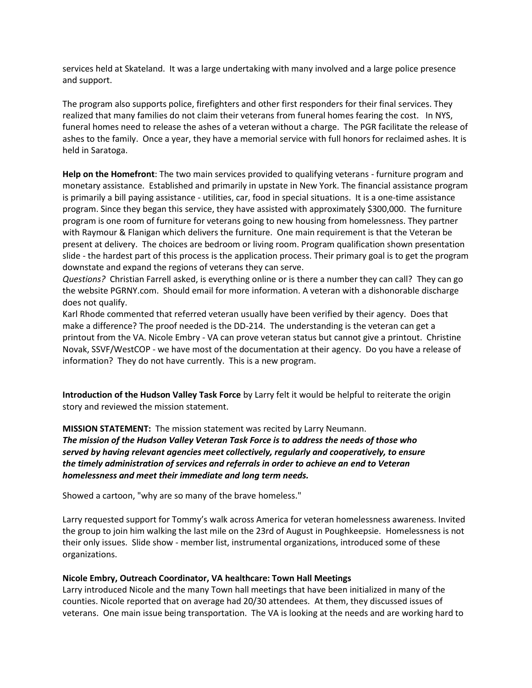services held at Skateland. It was a large undertaking with many involved and a large police presence and support.

The program also supports police, firefighters and other first responders for their final services. They realized that many families do not claim their veterans from funeral homes fearing the cost. In NYS, funeral homes need to release the ashes of a veteran without a charge. The PGR facilitate the release of ashes to the family. Once a year, they have a memorial service with full honors for reclaimed ashes. It is held in Saratoga.

**Help on the Homefront**: The two main services provided to qualifying veterans - furniture program and monetary assistance. Established and primarily in upstate in New York. The financial assistance program is primarily a bill paying assistance - utilities, car, food in special situations. It is a one-time assistance program. Since they began this service, they have assisted with approximately \$300,000. The furniture program is one room of furniture for veterans going to new housing from homelessness. They partner with Raymour & Flanigan which delivers the furniture. One main requirement is that the Veteran be present at delivery. The choices are bedroom or living room. Program qualification shown presentation slide - the hardest part of this process is the application process. Their primary goal is to get the program downstate and expand the regions of veterans they can serve.

*Questions?* Christian Farrell asked, is everything online or is there a number they can call? They can go the website PGRNY.com. Should email for more information. A veteran with a dishonorable discharge does not qualify.

Karl Rhode commented that referred veteran usually have been verified by their agency. Does that make a difference? The proof needed is the DD-214. The understanding is the veteran can get a printout from the VA. Nicole Embry - VA can prove veteran status but cannot give a printout. Christine Novak, SSVF/WestCOP - we have most of the documentation at their agency. Do you have a release of information? They do not have currently. This is a new program.

**Introduction of the Hudson Valley Task Force** by Larry felt it would be helpful to reiterate the origin story and reviewed the mission statement.

**MISSION STATEMENT:** The mission statement was recited by Larry Neumann. *The mission of the Hudson Valley Veteran Task Force is to address the needs of those who served by having relevant agencies meet collectively, regularly and cooperatively, to ensure the timely administration of services and referrals in order to achieve an end to Veteran homelessness and meet their immediate and long term needs.*

Showed a cartoon, "why are so many of the brave homeless."

Larry requested support for Tommy's walk across America for veteran homelessness awareness. Invited the group to join him walking the last mile on the 23rd of August in Poughkeepsie. Homelessness is not their only issues. Slide show - member list, instrumental organizations, introduced some of these organizations.

#### **Nicole Embry, Outreach Coordinator, VA healthcare: Town Hall Meetings**

Larry introduced Nicole and the many Town hall meetings that have been initialized in many of the counties. Nicole reported that on average had 20/30 attendees. At them, they discussed issues of veterans. One main issue being transportation. The VA is looking at the needs and are working hard to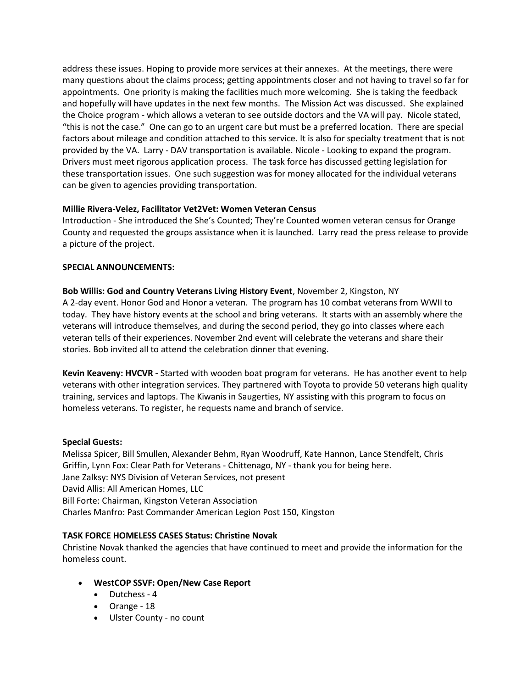address these issues. Hoping to provide more services at their annexes. At the meetings, there were many questions about the claims process; getting appointments closer and not having to travel so far for appointments. One priority is making the facilities much more welcoming. She is taking the feedback and hopefully will have updates in the next few months. The Mission Act was discussed. She explained the Choice program - which allows a veteran to see outside doctors and the VA will pay. Nicole stated, "this is not the case." One can go to an urgent care but must be a preferred location. There are special factors about mileage and condition attached to this service. It is also for specialty treatment that is not provided by the VA. Larry - DAV transportation is available. Nicole - Looking to expand the program. Drivers must meet rigorous application process. The task force has discussed getting legislation for these transportation issues. One such suggestion was for money allocated for the individual veterans can be given to agencies providing transportation.

### **Millie Rivera-Velez, Facilitator Vet2Vet: Women Veteran Census**

Introduction - She introduced the She's Counted; They're Counted women veteran census for Orange County and requested the groups assistance when it is launched. Larry read the press release to provide a picture of the project.

### **SPECIAL ANNOUNCEMENTS:**

**Bob Willis: God and Country Veterans Living History Event**, November 2, Kingston, NY A 2-day event. Honor God and Honor a veteran. The program has 10 combat veterans from WWII to today. They have history events at the school and bring veterans. It starts with an assembly where the veterans will introduce themselves, and during the second period, they go into classes where each veteran tells of their experiences. November 2nd event will celebrate the veterans and share their stories. Bob invited all to attend the celebration dinner that evening.

**Kevin Keaveny: HVCVR -** Started with wooden boat program for veterans. He has another event to help veterans with other integration services. They partnered with Toyota to provide 50 veterans high quality training, services and laptops. The Kiwanis in Saugerties, NY assisting with this program to focus on homeless veterans. To register, he requests name and branch of service.

## **Special Guests:**

Melissa Spicer, Bill Smullen, Alexander Behm, Ryan Woodruff, Kate Hannon, Lance Stendfelt, Chris Griffin, Lynn Fox: Clear Path for Veterans - Chittenago, NY - thank you for being here. Jane Zalksy: NYS Division of Veteran Services, not present David Allis: All American Homes, LLC Bill Forte: Chairman, Kingston Veteran Association Charles Manfro: Past Commander American Legion Post 150, Kingston

## **TASK FORCE HOMELESS CASES Status: Christine Novak**

Christine Novak thanked the agencies that have continued to meet and provide the information for the homeless count.

- **WestCOP SSVF: Open/New Case Report**
	- Dutchess 4
	- Orange 18
	- Ulster County no count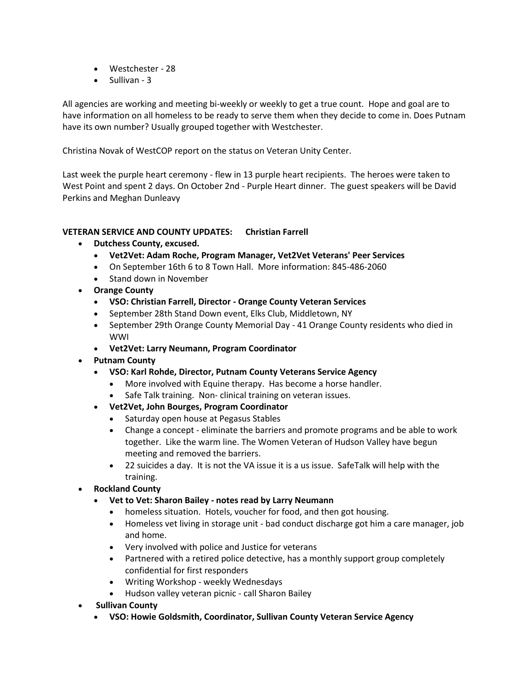- Westchester 28
- Sullivan 3

All agencies are working and meeting bi-weekly or weekly to get a true count. Hope and goal are to have information on all homeless to be ready to serve them when they decide to come in. Does Putnam have its own number? Usually grouped together with Westchester.

Christina Novak of WestCOP report on the status on Veteran Unity Center.

Last week the purple heart ceremony - flew in 13 purple heart recipients. The heroes were taken to West Point and spent 2 days. On October 2nd - Purple Heart dinner. The guest speakers will be David Perkins and Meghan Dunleavy

### **VETERAN SERVICE AND COUNTY UPDATES: Christian Farrell**

- **Dutchess County, excused.** 
	- **Vet2Vet: Adam Roche, Program Manager, Vet2Vet Veterans' Peer Services**
	- On September 16th 6 to 8 Town Hall. More information: 845-486-2060
	- Stand down in November
- **Orange County**
	- **VSO: Christian Farrell, Director - Orange County Veteran Services**
	- September 28th Stand Down event, Elks Club, Middletown, NY
	- September 29th Orange County Memorial Day 41 Orange County residents who died in WWI
	- **Vet2Vet: Larry Neumann, Program Coordinator**
- **Putnam County**
	- **VSO: Karl Rohde, Director, Putnam County Veterans Service Agency**
		- More involved with Equine therapy. Has become a horse handler.
		- Safe Talk training. Non- clinical training on veteran issues.
	- **Vet2Vet, John Bourges, Program Coordinator**
		- Saturday open house at Pegasus Stables
		- Change a concept eliminate the barriers and promote programs and be able to work together. Like the warm line. The Women Veteran of Hudson Valley have begun meeting and removed the barriers.
		- 22 suicides a day. It is not the VA issue it is a us issue. SafeTalk will help with the training.
- **Rockland County**
	- **Vet to Vet: Sharon Bailey - notes read by Larry Neumann**
		- homeless situation. Hotels, voucher for food, and then got housing.
		- Homeless vet living in storage unit bad conduct discharge got him a care manager, job and home.
		- Very involved with police and Justice for veterans
		- Partnered with a retired police detective, has a monthly support group completely confidential for first responders
		- Writing Workshop weekly Wednesdays
		- Hudson valley veteran picnic call Sharon Bailey
- **Sullivan County**
	- **VSO: Howie Goldsmith, Coordinator, Sullivan County Veteran Service Agency**